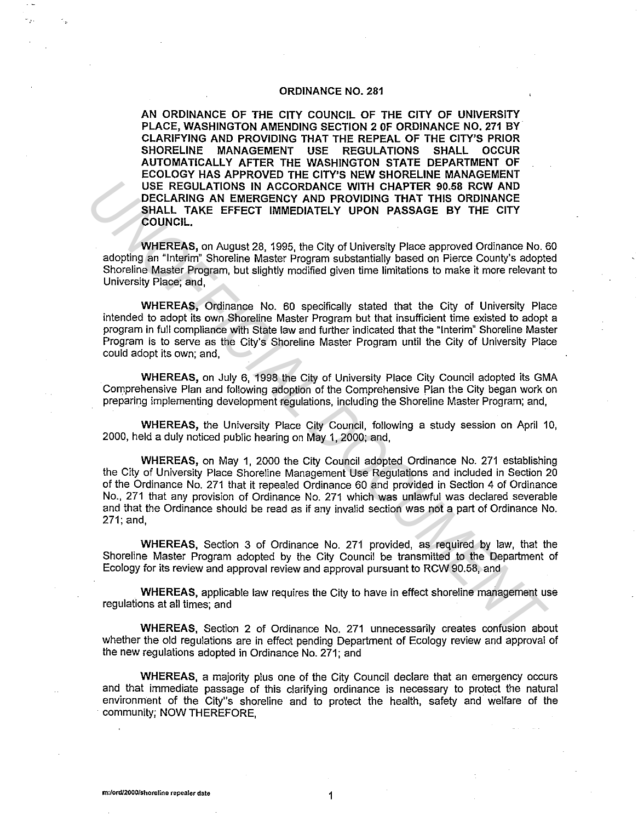## **ORDINANCE NO. 281**

**AN ORDINANCE OF THE CITY COUNCIL OF THE CITY OF UNIVERSITY PLACE, WASHINGTON AMENDING SECTION 2 OF ORDINANCE NO. 271 BY CLARIFYING AND PROVIDING THAT THE REPEAL OF THE CITY'S PRIOR SHORELINE MANAGEMENT USE REGULATIONS SHALL OCCUR AUTOMATICALLY AFTER THE WASHINGTON STATE DEPARTMENT OF ECOLOGY HAS APPROVED THE CITY'S NEW SHORELINE MANAGEMENT USE REGULATIONS IN ACCORDANCE WITH CHAPTER 90.58 RCW AND DECLARING AN EMERGENCY AND PROVIDING THAT THIS ORDINANCE SHALL TAKE EFFECT IMMEDIATELY UPON PASSAGE BY THE CITY COUNCIL.** 

**WHEREAS,** on August 28, 1995, the City of University Place approved Ordinance No. 60 adopting an "Interim" Shoreline Master Program substantially based on Pierce County's adopted Shoreline Master Program, but slightly modified given time limitations to make it more relevant to University Place; and,

**WHEREAS,** Ordinance No. 60 specifically stated that the City of University Place intended to adopt its own Shoreline Master Program but that insufficient time existed to adopt a program in full compliance with State law and further indicated that the "Interim" Shoreline Master Program is to serve as the City's Shoreline Master Program until the City of University Place could adopt its own; and,

**WHEREAS,** on July 6, 1998 the City of University Place City Council adopted its GMA Comprehensive Plan and following adoption of the Comprehensive Plan the City began work on preparing implementing development regulations, including the Shoreline Master Program; and,

**WHEREAS,** the University Place City Council, following a study session on April 10, 2000, held a duly noticed public hearing on May 1, 2000; and,

**WHEREAS,** on May 1, 2000 the City Council adopted Ordinance No. 271 establishing the City of University Place Shoreline Management Use Regulations and included in Section 20 of the Ordinance No. 271 that it repealed Ordinance 60 and provided in Section 4 of Ordinance No., 271 that any provision of Ordinance No. 271 which was unlawful was declared severable and that the Ordinance should be read as if any invalid section was not a part of Ordinance No. 271; and, USE REGULATIONS in ACCORDANCE WITH CHAPTER 9.658 RCW AND TROUBLEM THAT THIS ORDINANCE<br>
SPICLARNING AN EMERGENCY AND PROVIDING THAT THIS ORDINANCE<br>
SCILLATIVE COUNCIL.<br>
COUNCIL,<br>
COUNCIL, TAKE EFFECT IMMEDIATELY UPON PASSAG

**WHEREAS,** Section 3 of Ordinance No. 271 provided, as required by law, that the Shoreline Master Program adopted by the City Council be transmitted to the Department of Ecology for its review and approval review and approval pursuant to RCW 90.58, and

**WHEREAS,** applicable law requires the City to have in effect shoreline management use regulations at all times; and

**WHEREAS,** Section 2 of Ordinance No. 271 unnecessarily creates confusion about whether the old regulations are in effect pending Department of Ecology review and approval of the new regulations adopted in Ordinance No. 271; and

**WHEREAS,** a majority plus one of the City Council declare that an emergency occurs and that immediate passage of this clarifying ordinance is necessary to protect the natural environment of the City"s shoreline and to protect the health, safety and welfare of the community; NOW THEREFORE,

";·